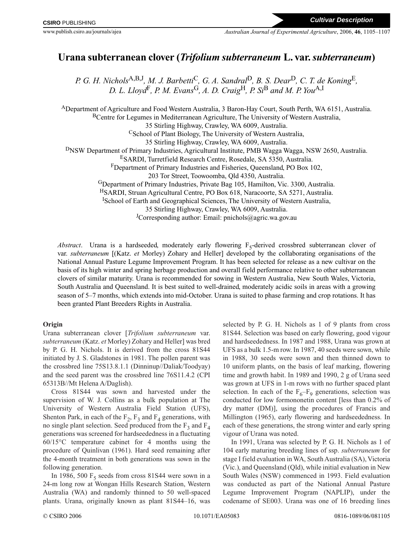# **Urana subterranean clover (***Trifolium subterraneum* **L. var.***subterraneum***)**

*P. G. H. Nichols*A,B,J*, M. J. Barbetti*C*, G. A. Sandral*D*, B. S. Dear*D*, C. T. de Koning*E*, D. L. Lloyd*F*, P. M. Evans*G*, A. D. Craig*H*, P. Si*<sup>B</sup> *and M. P. You*A,I

ADepartment of Agriculture and Food Western Australia, 3 Baron-Hay Court, South Perth, WA 6151, Australia. BCentre for Legumes in Mediterranean Agriculture, The University of Western Australia, 35 Stirling Highway, Crawley, WA 6009, Australia. <sup>C</sup>School of Plant Biology, The University of Western Australia, 35 Stirling Highway, Crawley, WA 6009, Australia. DNSW Department of Primary Industries, Agricultural Institute, PMB Wagga Wagga, NSW 2650, Australia. ESARDI, Turretfield Research Centre, Rosedale, SA 5350, Australia. FDepartment of Primary Industries and Fisheries, Queensland, PO Box 102, 203 Tor Street, Toowoomba, Qld 4350, Australia. GDepartment of Primary Industries, Private Bag 105, Hamilton, Vic. 3300, Australia. HSARDI, Struan Agricultural Centre, PO Box 618, Naracoorte, SA 5271, Australia. <sup>I</sup>School of Earth and Geographical Sciences, The University of Western Australia, 35 Stirling Highway, Crawley, WA 6009, Australia.

JCorresponding author: Email: pnichols@agric.wa.gov.au

*Abstract*. Urana is a hardseeded, moderately early flowering  $F_5$ -derived crossbred subterranean clover of var. *subterraneum* [(Katz. *et* Morley) Zohary and Heller] developed by the collaborating organisations of the National Annual Pasture Legume Improvement Program. It has been selected for release as a new cultivar on the basis of its high winter and spring herbage production and overall field performance relative to other subterranean clovers of similar maturity. Urana is recommended for sowing in Western Australia, New South Wales, Victoria, South Australia and Queensland. It is best suited to well-drained, moderately acidic soils in areas with a growing season of 5–7 months, which extends into mid-October. Urana is suited to phase farming and crop rotations. It has been granted Plant Breeders Rights in Australia.

## **Origin**

Urana subterranean clover [*Trifolium subterraneum* var. *subterraneum* (Katz. *et* Morley) Zohary and Heller] was bred by P. G. H. Nichols. It is derived from the cross 81S44 initiated by J. S. Gladstones in 1981. The pollen parent was the crossbred line 75S13.8.1.1 (Dinninup//Daliak/Toodyay) and the seed parent was the crossbred line 76S11.4.2 (CPI 65313B//Mt Helena A/Daglish).

Cross 81S44 was sown and harvested under the supervision of W. J. Collins as a bulk population at The University of Western Australia Field Station (UFS), Shenton Park, in each of the  $F_2$ ,  $F_3$  and  $F_4$  generations, with no single plant selection. Seed produced from the  $F_3$  and  $F_4$ generations was screened for hardseededness in a fluctuating 60/15°C temperature cabinet for 4 months using the procedure of Quinlivan (1961). Hard seed remaining after the 4-month treatment in both generations was sown in the following generation.

In 1986, 500  $F_5$  seeds from cross 81S44 were sown in a 24-m long row at Wongan Hills Research Station, Western Australia (WA) and randomly thinned to 50 well-spaced plants. Urana, originally known as plant 81S44–16, was

selected by P. G. H. Nichols as 1 of 9 plants from cross 81S44. Selection was based on early flowering, good vigour and hardseededness. In 1987 and 1988, Urana was grown at UFS as a bulk 1.5-m row. In 1987, 40 seeds were sown, while in 1988, 30 seeds were sown and then thinned down to 10 uniform plants, on the basis of leaf marking, flowering time and growth habit. In 1989 and 1990, 2 g of Urana seed was grown at UFS in 1-m rows with no further spaced plant selection. In each of the  $F_6-F_9$  generations, selection was conducted for low formononetin content [less than 0.2% of dry matter (DM)], using the procedures of Francis and Millington (1965), early flowering and hardseededness. In each of these generations, the strong winter and early spring vigour of Urana was noted.

In 1991, Urana was selected by P. G. H. Nichols as 1 of 104 early maturing breeding lines of ssp. *subterraneum* for stage I field evaluation in WA, South Australia (SA), Victoria (Vic.), and Queensland (Qld), while initial evaluation in New South Wales (NSW) commenced in 1993. Field evaluation was conducted as part of the National Annual Pasture Legume Improvement Program (NAPLIP), under the codename of SE003. Urana was one of 16 breeding lines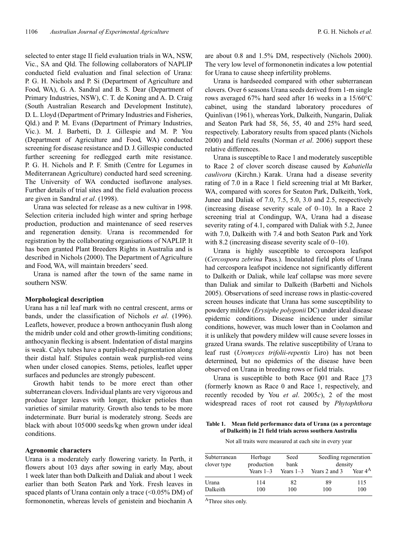selected to enter stage II field evaluation trials in WA, NSW, Vic., SA and Qld. The following collaborators of NAPLIP conducted field evaluation and final selection of Urana: P. G. H. Nichols and P. Si (Department of Agriculture and Food, WA), G. A. Sandral and B. S. Dear (Department of Primary Industries, NSW), C. T. de Koning and A. D. Craig (South Australian Research and Development Institute), D. L. Lloyd (Department of Primary Industries and Fisheries, Qld.) and P. M. Evans (Department of Primary Industries, Vic.). M. J. Barbetti, D. J. Gillespie and M. P. You (Department of Agriculture and Food, WA) conducted screening for disease resistance and D. J. Gillespie conducted further screening for redlegged earth mite resistance. P. G. H. Nichols and P. F. Smith (Centre for Legumes in Mediterranean Agriculture) conducted hard seed screening. The University of WA conducted isoflavone analyses. Further details of trial sites and the field evaluation process are given in Sandral *et al*. (1998).

Urana was selected for release as a new cultivar in 1998. Selection criteria included high winter and spring herbage production, production and maintenance of seed reserves and regeneration density. Urana is recommended for registration by the collaborating organisations of NAPLIP. It has been granted Plant Breeders Rights in Australia and is described in Nichols (2000). The Department of Agriculture and Food, WA, will maintain breeders' seed.

Urana is named after the town of the same name in southern NSW.

#### **Morphological description**

Urana has a nil leaf mark with no central crescent, arms or bands, under the classification of Nichols *et al*. (1996). Leaflets, however, produce a brown anthocyanin flush along the midrib under cold and other growth-limiting conditions; anthocyanin flecking is absent. Indentation of distal margins is weak. Calyx tubes have a purplish-red pigmentation along their distal half. Stipules contain weak purplish-red veins when under closed canopies. Stems, petioles, leaflet upper surfaces and peduncles are strongly pubescent.

Growth habit tends to be more erect than other subterranean clovers. Individual plants are very vigorous and produce larger leaves with longer, thicker petioles than varieties of similar maturity. Growth also tends to be more indeterminate. Burr burial is moderately strong. Seeds are black with about 105000 seeds/kg when grown under ideal conditions.

#### **Agronomic characters**

Urana is a moderately early flowering variety. In Perth, it flowers about 103 days after sowing in early May, about 1 week later than both Dalkeith and Daliak and about 1 week earlier than both Seaton Park and York. Fresh leaves in spaced plants of Urana contain only a trace  $(<0.05\%$  DM) of formononetin, whereas levels of genistein and biochanin A

are about 0.8 and 1.5% DM, respectively (Nichols 2000). The very low level of formononetin indicates a low potential for Urana to cause sheep infertility problems.

Urana is hardseeded compared with other subterranean clovers. Over 6 seasons Urana seeds derived from 1-m single rows averaged 67% hard seed after 16 weeks in a 15/60°C cabinet, using the standard laboratory procedures of Quinlivan (1961), whereas York, Dalkeith, Nungarin, Daliak and Seaton Park had 58, 56, 55, 40 and 25% hard seed, respectively. Laboratory results from spaced plants (Nichols 2000) and field results (Norman *et al*. 2006) support these relative differences.

Urana is susceptible to Race 1 and moderately susceptible to Race 2 of clover scorch disease caused by *Kabatiella caulivora* (Kirchn.) Karak. Urana had a disease severity rating of 7.0 in a Race 1 field screening trial at Mt Barker, WA, compared with scores for Seaton Park, Dalkeith, York, Junee and Daliak of 7.0, 7.5, 5.0, 3.0 and 2.5, respectively (increasing disease severity scale of 0–10). In a Race 2 screening trial at Condingup, WA, Urana had a disease severity rating of 4.1, compared with Daliak with 5.2, Junee with 7.0, Dalkeith with 7.4 and both Seaton Park and York with 8.2 (increasing disease severity scale of  $0-10$ ).

Urana is highly susceptible to cercospora leafspot (*Cercospora zebrina* Pass.). Inoculated field plots of Urana had cercospora leafspot incidence not significantly different to Dalkeith or Daliak, while leaf collapse was more severe than Daliak and similar to Dalkeith (Barbetti and Nichols 2005). Observations of seed increase rows in plastic-covered screen houses indicate that Urana has some susceptibility to powdery mildew (*Erysiphe polygonii* DC) under ideal disease epidemic conditions. Disease incidence under similar conditions, however, was much lower than in Coolamon and it is unlikely that powdery mildew will cause severe losses in grazed Urana swards. The relative susceptibility of Urana to leaf rust (*Uromyces trifolii-repentis* Liro) has not been determined, but no epidemics of the disease have been observed on Urana in breeding rows or field trials.

Urana is susceptible to both Race  $\frac{001}{100}$  and Race  $\frac{173}{100}$ (formerly known as Race 0 and Race 1, respectively, and recently recoded by You *et al*. 2005*c*), 2 of the most widespread races of root rot caused by *Phytophthora*

#### **Table 1. Mean field performance data of Urana (as a percentage of Dalkeith) in 21 field trials across southern Australia**

Not all traits were measured at each site in every year

| Subterranean<br>clover type | Herbage<br>production<br>Years $1-3$ | Seed<br>bank<br>Years $1-3$ | Seedling regeneration<br>density |                     |
|-----------------------------|--------------------------------------|-----------------------------|----------------------------------|---------------------|
|                             |                                      |                             | Years 2 and 3                    | Year 4 <sup>A</sup> |
| Urana<br>Dalkeith           | 114<br>100                           | 82<br>100                   | 89<br>100                        | 115<br>100          |

AThree sites only.